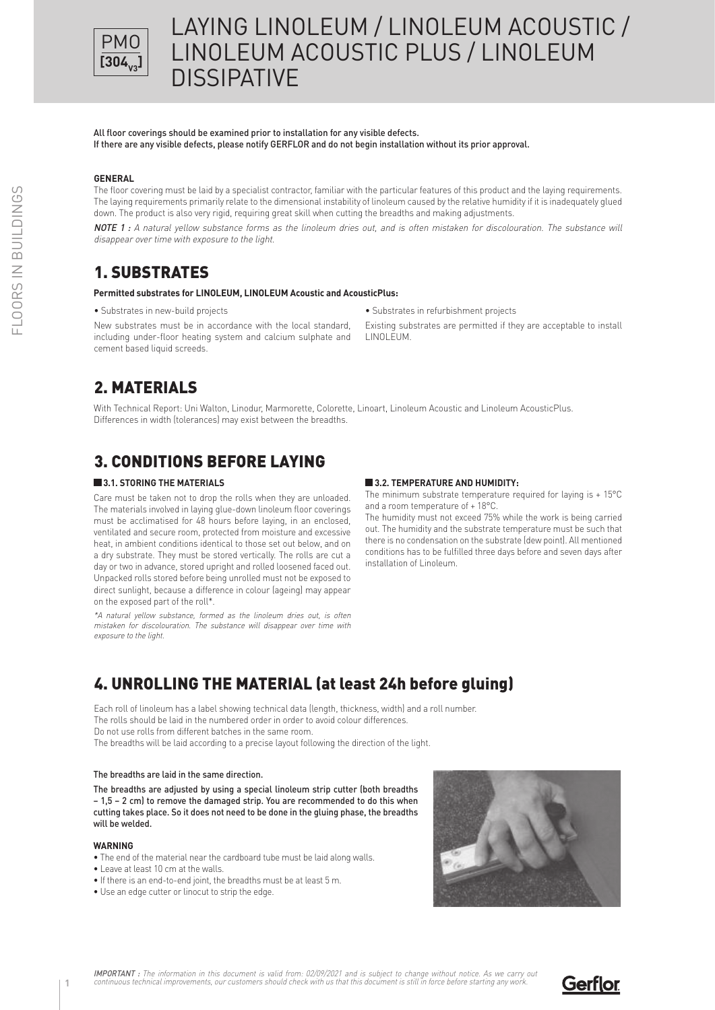

All floor coverings should be examined prior to installation for any visible defects. If there are any visible defects, please notify GERFLOR and do not begin installation without its prior approval.

### **GENERAL**

The floor covering must be laid by a specialist contractor, familiar with the particular features of this product and the laying requirements. The laying requirements primarily relate to the dimensional instability of linoleum caused by the relative humidity if it is inadequately glued down. The product is also very rigid, requiring great skill when cutting the breadths and making adjustments.

NOTE 1 : A natural yellow substance forms as the linoleum dries out, and is often mistaken for discolouration. The substance will disappear over time with exposure to the light.

## 1. SUBSTRATES

#### **Permitted substrates for LINOLEUM, LINOLEUM Acoustic and AcousticPlus:**

• Substrates in new-build projects

New substrates must be in accordance with the local standard, including under-floor heating system and calcium sulphate and cement based liquid screeds.

• Substrates in refurbishment projects

Existing substrates are permitted if they are acceptable to install LINOLEUM.

## 2. MATERIALS

With Technical Report: Uni Walton, Linodur, Marmorette, Colorette, Linoart, Linoleum Acoustic and Linoleum AcousticPlus. Differences in width (tolerances) may exist between the breadths.

# 3. CONDITIONS BEFORE LAYING

#### **3.1. STORING THE MATERIALS**

Care must be taken not to drop the rolls when they are unloaded. The materials involved in laying glue-down linoleum floor coverings must be acclimatised for 48 hours before laying, in an enclosed, ventilated and secure room, protected from moisture and excessive heat, in ambient conditions identical to those set out below, and on a dry substrate. They must be stored vertically. The rolls are cut a day or two in advance, stored upright and rolled loosened faced out. Unpacked rolls stored before being unrolled must not be exposed to direct sunlight, because a difference in colour (ageing) may appear on the exposed part of the roll\*.

\*A natural yellow substance, formed as the linoleum dries out, is often mistaken for discolouration. The substance will disappear over time with exposure to the light.

#### **3.2. TEMPERATURE AND HUMIDITY:**

The minimum substrate temperature required for laying is + 15°C and a room temperature of + 18°C.

The humidity must not exceed 75% while the work is being carried out. The humidity and the substrate temperature must be such that there is no condensation on the substrate (dew point). All mentioned conditions has to be fulfilled three days before and seven days after installation of Linoleum.

# 4. UNROLLING THE MATERIAL (at least 24h before gluing)

Each roll of linoleum has a label showing technical data (length, thickness, width) and a roll number. The rolls should be laid in the numbered order in order to avoid colour differences. Do not use rolls from different batches in the same room.

The breadths will be laid according to a precise layout following the direction of the light.

#### The breadths are laid in the same direction.

The breadths are adjusted by using a special linoleum strip cutter (both breadths – 1,5 – 2 cm) to remove the damaged strip. You are recommended to do this when cutting takes place. So it does not need to be done in the gluing phase, the breadths will be welded.

#### **WARNING**

- The end of the material near the cardboard tube must be laid along walls.
- Leave at least 10 cm at the walls.
- If there is an end-to-end joint, the breadths must be at least 5 m.
- Use an edge cutter or linocut to strip the edge.



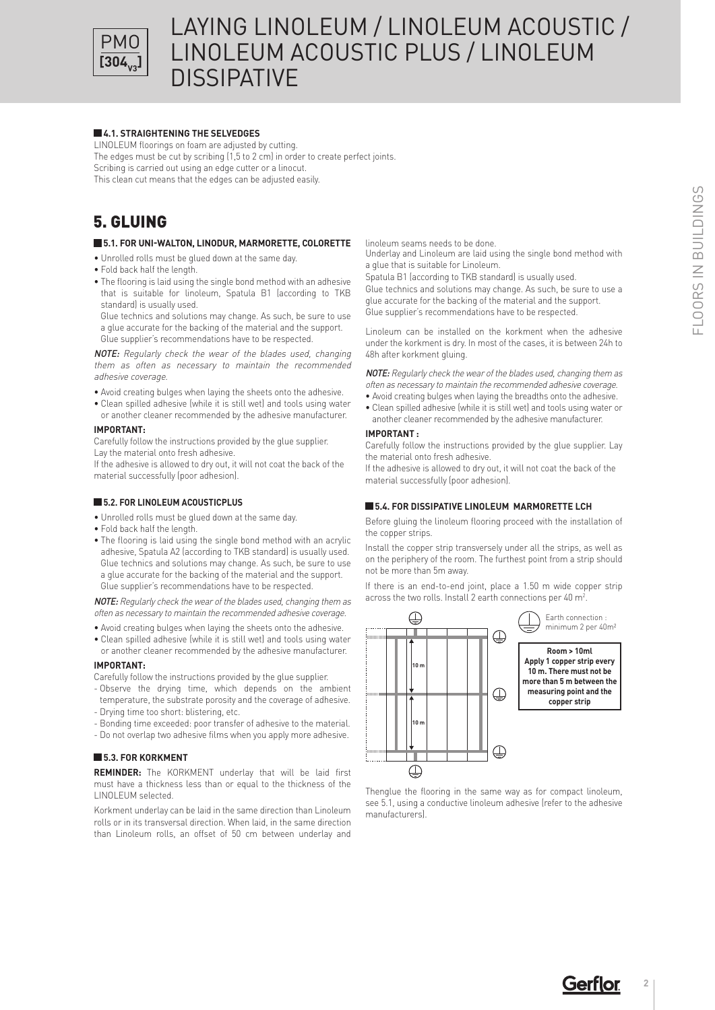

#### **4.1. STRAIGHTENING THE SELVEDGES**

LINOLEUM floorings on foam are adjusted by cutting.

The edges must be cut by scribing (1,5 to 2 cm) in order to create perfect joints. Scribing is carried out using an edge cutter or a linocut. This clean cut means that the edges can be adjusted easily.

## 5. GLUING

### **5.1. FOR UNI-WALTON, LINODUR, MARMORETTE, COLORETTE**

- Unrolled rolls must be glued down at the same day.
- Fold back half the length.
- The flooring is laid using the single bond method with an adhesive that is suitable for linoleum, Spatula B1 (according to TKB standard) is usually used.

Glue technics and solutions may change. As such, be sure to use a glue accurate for the backing of the material and the support. Glue supplier's recommendations have to be respected.

NOTE: Regularly check the wear of the blades used, changing them as often as necessary to maintain the recommended adhesive coverage.

- Avoid creating bulges when laying the sheets onto the adhesive.
- Clean spilled adhesive (while it is still wet) and tools using water or another cleaner recommended by the adhesive manufacturer.

#### **IMPORTANT:**

Carefully follow the instructions provided by the glue supplier. **10 m** Lay the material onto fresh adhesive.

If the adhesive is allowed to dry out, it will not coat the back of the material successfully (poor adhesion).

### **5.2. FOR LINOLEUM ACOUSTICPLUS**

- Unrolled rolls must be glued down at the same day.
- Fold back half the length.
- The flooring is laid using the single bond method with an acrylic adhesive, Spatula A2 (according to TKB standard) is usually used. Glue technics and solutions may change. As such, be sure to use a glue accurate for the backing of the material and the support. Glue supplier's recommendations have to be respected.

NOTE: Regularly check the wear of the blades used, changing them as often as necessary to maintain the recommended adhesive coverage.

- Avoid creating bulges when laying the sheets onto the adhesive. • Clean spilled adhesive (while it is still wet) and tools using water
- or another cleaner recommended by the adhesive manufacturer. **IMPORTANT:**

Carefully follow the instructions provided by the glue supplier.

- Observe the drying time, which depends on the ambient temperature, the substrate porosity and the coverage of adhesive.
- Drying time too short: blistering, etc.
- Bonding time exceeded: poor transfer of adhesive to the material.
- Do not overlap two adhesive films when you apply more adhesive.

### **5.3. FOR KORKMENT**

**REMINDER:** The KORKMENT underlay that will be laid first must have a thickness less than or equal to the thickness of the LINOLEUM selected.

Korkment underlay can be laid in the same direction than Linoleum rolls or in its transversal direction. When laid, in the same direction than Linoleum rolls, an offset of 50 cm between underlay and

linoleum seams needs to be done.

Underlay and Linoleum are laid using the single bond method with a glue that is suitable for Linoleum.

Spatula B1 (according to TKB standard) is usually used. Glue technics and solutions may change. As such, be sure to use a glue accurate for the backing of the material and the support. Glue supplier's recommendations have to be respected.

Linoleum can be installed on the korkment when the adhesive under the korkment is dry. In most of the cases, it is between 24h to 48h after korkment gluing.

NOTE: Regularly check the wear of the blades used, changing them as often as necessary to maintain the recommended adhesive coverage.

• Avoid creating bulges when laying the breadths onto the adhesive. • Clean spilled adhesive (while it is still wet) and tools using water or another cleaner recommended by the adhesive manufacturer.

### **IMPORTANT:**

Carefully follow the instructions provided by the glue supplier. Lay **100 m2** the material onto fresh adhesive.

If the adhesive is allowed to dry out, it will not coat the back of the material successfully (poor adhesion).

#### **E** 5.4. FOR DISSIPATIVE LINOLEUM MARMORETTE LCH **10 m**

Before gluing the linoleum flooring proceed with the installation of the copper strips.

Install the copper strip transversely under all the strips, as well as on the periphery of the room. The furthest point from a strip should not be more than 5m away.

If there is an end-to-end joint, place a 1.50 m wide copper strip across the two rolls. Install 2 earth connections per 40 m<sup>2</sup>.



Thenglue the flooring in the same way as for compact linoleum, see 5.1, using a conductive linoleum adhesive (refer to the adhesive manufacturers).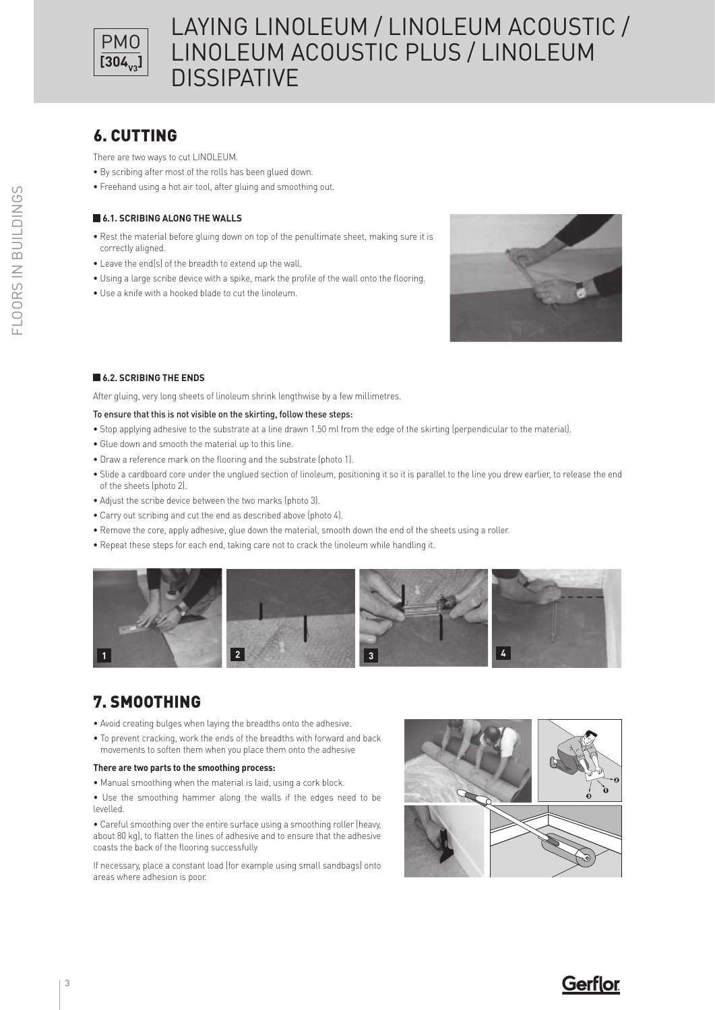

# 6. CUTTING

There are two ways to cut LINOLEUM.

- By scribing after most of the rolls has been glued down.
- Freehand using a hot air tool, after gluing and smoothing out.

### **6.1. SCRIBING ALONG THE WALLS**

- Rest the material before gluing down on top of the penultimate sheet, making sure it is correctly aligned.
- Leave the end(s) of the breadth to extend up the wall.
- Using a large scribe device with a spike, mark the profile of the wall onto the flooring.
- Use a knife with a hooked blade to cut the linoleum.



### **6.2. SCRIBING THE ENDS**

After gluing, very long sheets of linoleum shrink lengthwise by a few millimetres.

### To ensure that this is not visible on the skirting, follow these steps:

- Stop applying adhesive to the substrate at a line drawn 1.50 ml from the edge of the skirting (perpendicular to the material).
- Glue down and smooth the material up to this line.
- Draw a reference mark on the flooring and the substrate (photo 1).
- Slide a cardboard core under the unglued section of linoleum, positioning it so it is parallel to the line you drew earlier, to release the end of the sheets (photo 2).
- Adjust the scribe device between the two marks (photo 3).
- Carry out scribing and cut the end as described above (photo 4).
- Remove the core, apply adhesive, glue down the material, smooth down the end of the sheets using a roller.
- Repeat these steps for each end, taking care not to crack the linoleum while handling it.



# 7. SMOOTHING

- Avoid creating bulges when laying the breadths onto the adhesive.
- To prevent cracking, work the ends of the breadths with forward and back movements to soften them when you place them onto the adhesive

### **There are two parts to the smoothing process:**

• Manual smoothing when the material is laid, using a cork block.

• Use the smoothing hammer along the walls if the edges need to be levelled.

• Careful smoothing over the entire surface using a smoothing roller (heavy, about 80 kg), to flatten the lines of adhesive and to ensure that the adhesive coasts the back of the flooring successfully

If necessary, place a constant load (for example using small sandbags) onto areas where adhesion is poor.



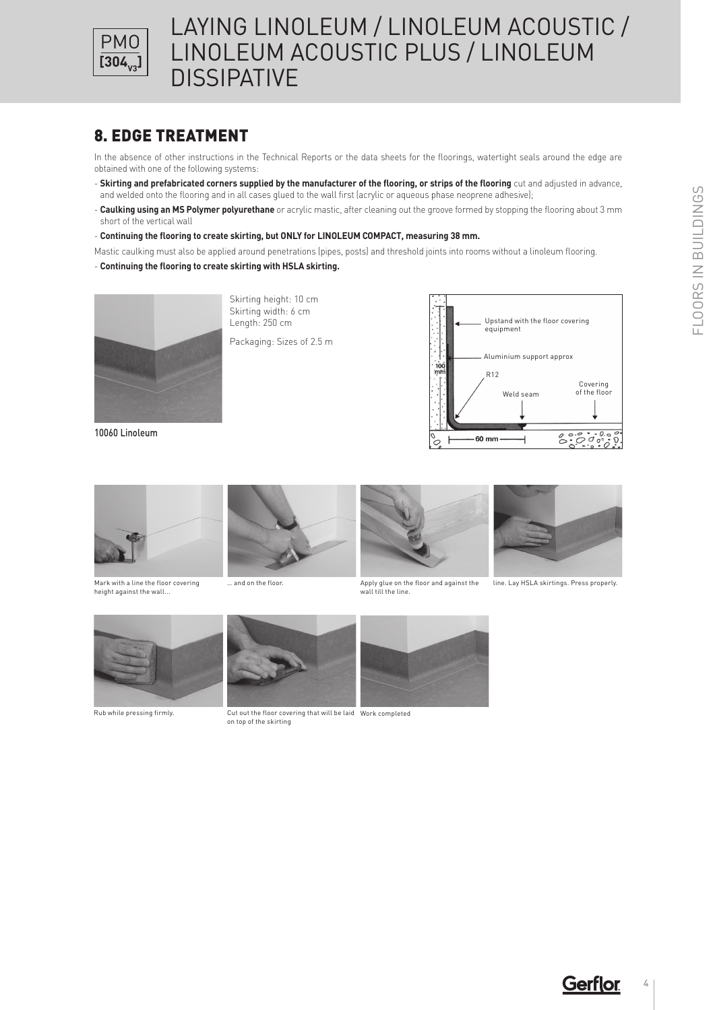

## 8. EDGE TREATMENT

In the absence of other instructions in the Technical Reports or the data sheets for the floorings, watertight seals around the edge are obtained with one of the following systems:

- **Skirting and prefabricated corners supplied by the manufacturer of the flooring, or strips of the flooring** cut and adjusted in advance, and welded onto the flooring and in all cases glued to the wall first (acrylic or aqueous phase neoprene adhesive);
- **Caulking using an MS Polymer polyurethane** or acrylic mastic, after cleaning out the groove formed by stopping the flooring about 3 mm short of the vertical wall
- **Continuing the flooring to create skirting, but ONLY for LINOLEUM COMPACT, measuring 38 mm.**
- Mastic caulking must also be applied around penetrations (pipes, posts) and threshold joints into rooms without a linoleum flooring.

### - **Continuing the flooring to create skirting with HSLA skirting.**



10060 Linoleum

Skirting height: 10 cm Skirting width: 6 cm Length: 250 cm

Packaging: Sizes of 2.5 m





Mark with a line the floor covering height against the wall...





was and on the floor. The same of the floor and against the same on the floor and against the wall till the line.



line. Lay HSLA skirtings. Press properly.





Rub while pressing firmly. Cut out the floor covering that will be laid Work completed on top of the skirting